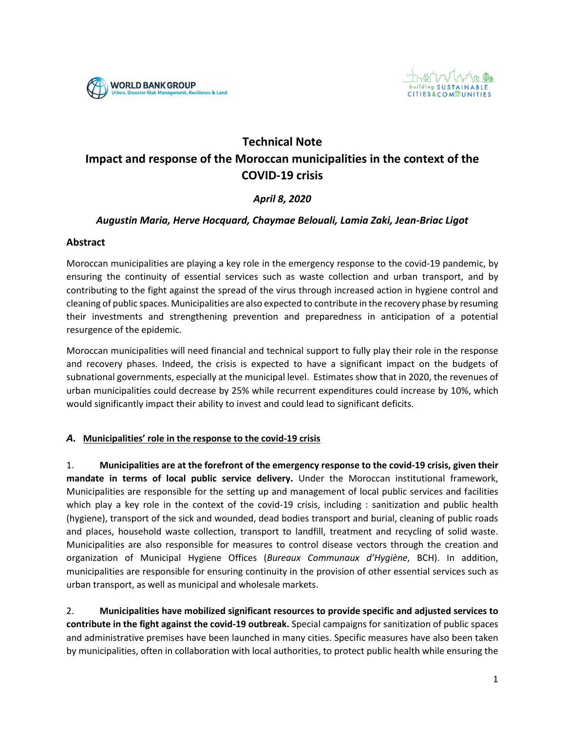



# **Technical Note Impact and response of the Moroccan municipalities in the context of the COVID-19 crisis**

## *April 8, 2020*

### *Augustin Maria, Herve Hocquard, Chaymae Belouali, Lamia Zaki, Jean-Briac Ligot*

### **Abstract**

Moroccan municipalities are playing a key role in the emergency response to the covid-19 pandemic, by ensuring the continuity of essential services such as waste collection and urban transport, and by contributing to the fight against the spread of the virus through increased action in hygiene control and cleaning of public spaces. Municipalities are also expected to contribute in the recovery phase by resuming their investments and strengthening prevention and preparedness in anticipation of a potential resurgence of the epidemic.

Moroccan municipalities will need financial and technical support to fully play their role in the response and recovery phases. Indeed, the crisis is expected to have a significant impact on the budgets of subnational governments, especially at the municipal level. Estimates show that in 2020, the revenues of urban municipalities could decrease by 25% while recurrent expenditures could increase by 10%, which would significantly impact their ability to invest and could lead to significant deficits.

### *A.* **Municipalities' role in the response to the covid-19 crisis**

1. **Municipalities are at the forefront of the emergency response to the covid-19 crisis, given their mandate in terms of local public service delivery.** Under the Moroccan institutional framework, Municipalities are responsible for the setting up and management of local public services and facilities which play a key role in the context of the covid-19 crisis, including : sanitization and public health (hygiene), transport of the sick and wounded, dead bodies transport and burial, cleaning of public roads and places, household waste collection, transport to landfill, treatment and recycling of solid waste. Municipalities are also responsible for measures to control disease vectors through the creation and organization of Municipal Hygiene Offices (*Bureaux Communaux d'Hygiène*, BCH). In addition, municipalities are responsible for ensuring continuity in the provision of other essential services such as urban transport, as well as municipal and wholesale markets.

2. **Municipalities have mobilized significant resources to provide specific and adjusted services to contribute in the fight against the covid-19 outbreak.** Special campaigns for sanitization of public spaces and administrative premises have been launched in many cities. Specific measures have also been taken by municipalities, often in collaboration with local authorities, to protect public health while ensuring the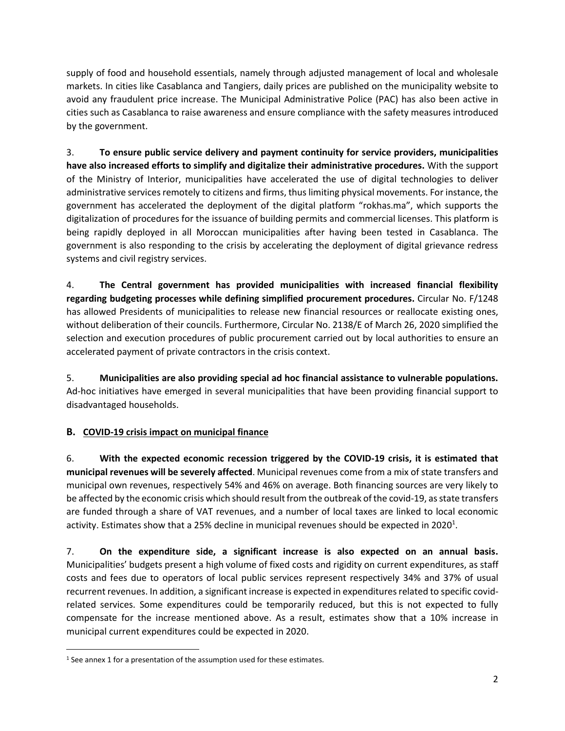supply of food and household essentials, namely through adjusted management of local and wholesale markets. In cities like Casablanca and Tangiers, daily prices are published on the municipality website to avoid any fraudulent price increase. The Municipal Administrative Police (PAC) has also been active in cities such as Casablanca to raise awareness and ensure compliance with the safety measures introduced by the government.

3. **To ensure public service delivery and payment continuity for service providers, municipalities have also increased efforts to simplify and digitalize their administrative procedures.** With the support of the Ministry of Interior, municipalities have accelerated the use of digital technologies to deliver administrative services remotely to citizens and firms, thus limiting physical movements. For instance, the government has accelerated the deployment of the digital platform "rokhas.ma", which supports the digitalization of procedures for the issuance of building permits and commercial licenses. This platform is being rapidly deployed in all Moroccan municipalities after having been tested in Casablanca. The government is also responding to the crisis by accelerating the deployment of digital grievance redress systems and civil registry services.

4. **The Central government has provided municipalities with increased financial flexibility regarding budgeting processes while defining simplified procurement procedures.** Circular No. F/1248 has allowed Presidents of municipalities to release new financial resources or reallocate existing ones, without deliberation of their councils. Furthermore, Circular No. 2138/E of March 26, 2020 simplified the selection and execution procedures of public procurement carried out by local authorities to ensure an accelerated payment of private contractors in the crisis context.

5. **Municipalities are also providing special ad hoc financial assistance to vulnerable populations.** Ad-hoc initiatives have emerged in several municipalities that have been providing financial support to disadvantaged households.

## **B. COVID-19 crisis impact on municipal finance**

6. **With the expected economic recession triggered by the COVID-19 crisis, it is estimated that municipal revenues will be severely affected**. Municipal revenues come from a mix ofstate transfers and municipal own revenues, respectively 54% and 46% on average. Both financing sources are very likely to be affected by the economic crisis which should result from the outbreak of the covid-19, as state transfers are funded through a share of VAT revenues, and a number of local taxes are linked to local economic activity. Estimates show that a 25% decline in municipal revenues should be expected in 2020<sup>1</sup>.

7. **On the expenditure side, a significant increase is also expected on an annual basis.**  Municipalities' budgets present a high volume of fixed costs and rigidity on current expenditures, as staff costs and fees due to operators of local public services represent respectively 34% and 37% of usual recurrent revenues. In addition, a significant increase is expected in expenditures related to specific covidrelated services. Some expenditures could be temporarily reduced, but this is not expected to fully compensate for the increase mentioned above. As a result, estimates show that a 10% increase in municipal current expenditures could be expected in 2020.

<sup>&</sup>lt;sup>1</sup> See annex 1 for a presentation of the assumption used for these estimates.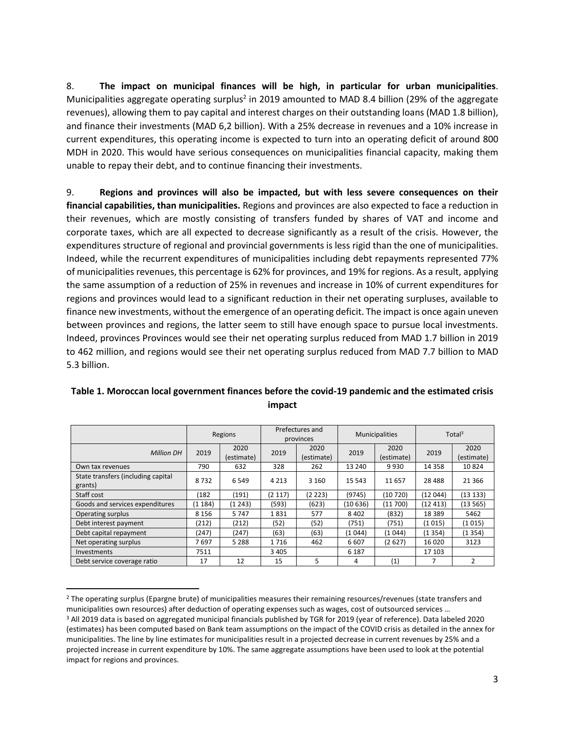8. **The impact on municipal finances will be high, in particular for urban municipalities**. Municipalities aggregate operating surplus<sup>2</sup> in 2019 amounted to MAD 8.4 billion (29% of the aggregate revenues), allowing them to pay capital and interest charges on their outstanding loans (MAD 1.8 billion), and finance their investments (MAD 6,2 billion). With a 25% decrease in revenues and a 10% increase in current expenditures, this operating income is expected to turn into an operating deficit of around 800 MDH in 2020. This would have serious consequences on municipalities financial capacity, making them unable to repay their debt, and to continue financing their investments.

9. **Regions and provinces will also be impacted, but with less severe consequences on their financial capabilities, than municipalities.** Regions and provinces are also expected to face a reduction in their revenues, which are mostly consisting of transfers funded by shares of VAT and income and corporate taxes, which are all expected to decrease significantly as a result of the crisis. However, the expenditures structure of regional and provincial governments is less rigid than the one of municipalities. Indeed, while the recurrent expenditures of municipalities including debt repayments represented 77% of municipalities revenues, this percentage is 62% for provinces, and 19% for regions. As a result, applying the same assumption of a reduction of 25% in revenues and increase in 10% of current expenditures for regions and provinces would lead to a significant reduction in their net operating surpluses, available to finance new investments, without the emergence of an operating deficit. The impact is once again uneven between provinces and regions, the latter seem to still have enough space to pursue local investments. Indeed, provinces Provinces would see their net operating surplus reduced from MAD 1.7 billion in 2019 to 462 million, and regions would see their net operating surplus reduced from MAD 7.7 billion to MAD 5.3 billion.

|                                               |         | Regions            | Prefectures and<br>provinces |                    | <b>Municipalities</b> |                    | Total <sup>3</sup> |                    |
|-----------------------------------------------|---------|--------------------|------------------------------|--------------------|-----------------------|--------------------|--------------------|--------------------|
| <b>Million DH</b>                             | 2019    | 2020<br>(estimate) | 2019                         | 2020<br>(estimate) | 2019                  | 2020<br>(estimate) | 2019               | 2020<br>(estimate) |
| Own tax revenues                              | 790     | 632                | 328                          | 262                | 13 240                | 9930               | 14 3 5 8           | 10824              |
| State transfers (including capital<br>grants) | 8732    | 6 5 4 9            | 4 2 1 3                      | 3 1 6 0            | 15 5 43               | 11 657             | 28 4 8 8           | 21 3 66            |
| Staff cost                                    | (182    | (191)              | (2 117)                      | (2 223)            | (9745)                | (10720)            | (12044)            | (13133)            |
| Goods and services expenditures               | (1 184) | (1243)             | (593)                        | (623)              | (10636)               | (11 700)           | (12413)            | (13565)            |
| Operating surplus                             | 8 1 5 6 | 5747               | 1831                         | 577                | 8 4 0 2               | (832)              | 18 3 8 9           | 5462               |
| Debt interest payment                         | (212)   | (212)              | (52)                         | (52)               | (751)                 | (751)              | (1015)             | (1015)             |
| Debt capital repayment                        | (247)   | (247)              | (63)                         | (63)               | (1044)                | (1044)             | (1354)             | (1354)             |
| Net operating surplus                         | 7697    | 5 2 8 8            | 1716                         | 462                | 6 607                 | (2627)             | 16 020             | 3123               |
| Investments                                   | 7511    |                    | 3 4 0 5                      |                    | 6 1 8 7               |                    | 17 103             |                    |
| Debt service coverage ratio                   | 17      | 12                 | 15                           | 5                  | 4                     | (1)                |                    | $\mathcal{P}$      |

## **Table 1. Moroccan local government finances before the covid-19 pandemic and the estimated crisis impact**

<sup>&</sup>lt;sup>2</sup> The operating surplus (Epargne brute) of municipalities measures their remaining resources/revenues (state transfers and municipalities own resources) after deduction of operating expenses such as wages, cost of outsourced services … <sup>3</sup> All 2019 data is based on aggregated municipal financials published by TGR for 2019 (year of reference). Data labeled 2020 (estimates) has been computed based on Bank team assumptions on the impact of the COVID crisis as detailed in the annex for

municipalities. The line by line estimates for municipalities result in a projected decrease in current revenues by 25% and a projected increase in current expenditure by 10%. The same aggregate assumptions have been used to look at the potential impact for regions and provinces.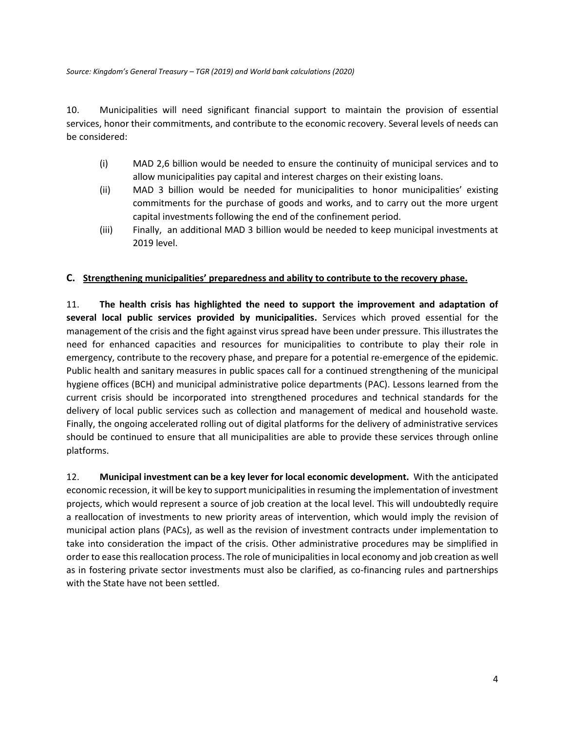*Source: Kingdom's General Treasury – TGR (2019) and World bank calculations (2020)*

10. Municipalities will need significant financial support to maintain the provision of essential services, honor their commitments, and contribute to the economic recovery. Several levels of needs can be considered:

- (i) MAD 2,6 billion would be needed to ensure the continuity of municipal services and to allow municipalities pay capital and interest charges on their existing loans.
- (ii) MAD 3 billion would be needed for municipalities to honor municipalities' existing commitments for the purchase of goods and works, and to carry out the more urgent capital investments following the end of the confinement period.
- (iii) Finally, an additional MAD 3 billion would be needed to keep municipal investments at 2019 level.

### **C. Strengthening municipalities' preparedness and ability to contribute to the recovery phase.**

11. **The health crisis has highlighted the need to support the improvement and adaptation of several local public services provided by municipalities.** Services which proved essential for the management of the crisis and the fight against virus spread have been under pressure. This illustrates the need for enhanced capacities and resources for municipalities to contribute to play their role in emergency, contribute to the recovery phase, and prepare for a potential re-emergence of the epidemic. Public health and sanitary measures in public spaces call for a continued strengthening of the municipal hygiene offices (BCH) and municipal administrative police departments (PAC). Lessons learned from the current crisis should be incorporated into strengthened procedures and technical standards for the delivery of local public services such as collection and management of medical and household waste. Finally, the ongoing accelerated rolling out of digital platforms for the delivery of administrative services should be continued to ensure that all municipalities are able to provide these services through online platforms.

12. **Municipal investment can be a key lever for local economic development.** With the anticipated economic recession, it will be key to support municipalities in resuming the implementation of investment projects, which would represent a source of job creation at the local level. This will undoubtedly require a reallocation of investments to new priority areas of intervention, which would imply the revision of municipal action plans (PACs), as well as the revision of investment contracts under implementation to take into consideration the impact of the crisis. Other administrative procedures may be simplified in order to ease this reallocation process. The role of municipalities in local economy and job creation as well as in fostering private sector investments must also be clarified, as co-financing rules and partnerships with the State have not been settled.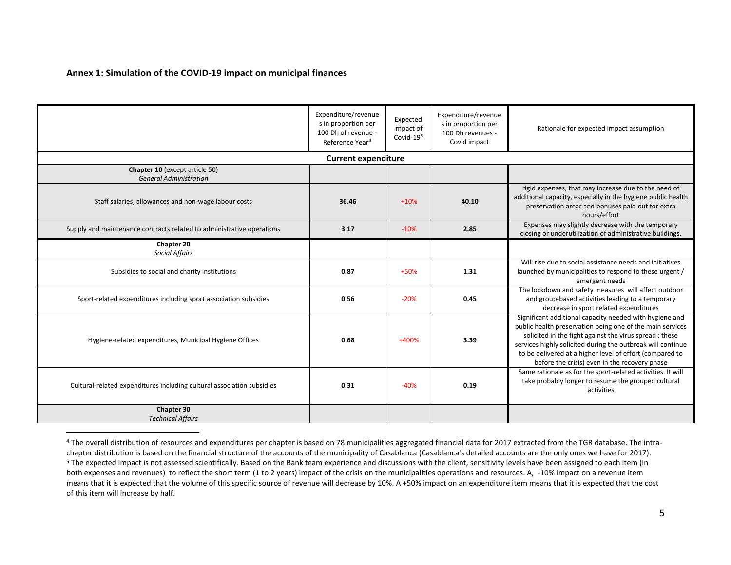#### **Annex 1: Simulation of the COVID-19 impact on municipal finances**

|                                                                        | Expenditure/revenue<br>s in proportion per<br>100 Dh of revenue -<br>Reference Year <sup>4</sup> | Expected<br>impact of<br>Covid-195 | Expenditure/revenue<br>s in proportion per<br>100 Dh revenues -<br>Covid impact | Rationale for expected impact assumption                                                                                                                                                                                                                                                                                                                    |  |  |  |
|------------------------------------------------------------------------|--------------------------------------------------------------------------------------------------|------------------------------------|---------------------------------------------------------------------------------|-------------------------------------------------------------------------------------------------------------------------------------------------------------------------------------------------------------------------------------------------------------------------------------------------------------------------------------------------------------|--|--|--|
|                                                                        | <b>Current expenditure</b>                                                                       |                                    |                                                                                 |                                                                                                                                                                                                                                                                                                                                                             |  |  |  |
| Chapter 10 (except article 50)<br><b>General Administration</b>        |                                                                                                  |                                    |                                                                                 |                                                                                                                                                                                                                                                                                                                                                             |  |  |  |
| Staff salaries, allowances and non-wage labour costs                   | 36.46                                                                                            | $+10%$                             | 40.10                                                                           | rigid expenses, that may increase due to the need of<br>additional capacity, especially in the hygiene public health<br>preservation arear and bonuses paid out for extra<br>hours/effort                                                                                                                                                                   |  |  |  |
| Supply and maintenance contracts related to administrative operations  | 3.17                                                                                             | $-10%$                             | 2.85                                                                            | Expenses may slightly decrease with the temporary<br>closing or underutilization of administrative buildings.                                                                                                                                                                                                                                               |  |  |  |
| Chapter 20<br><b>Social Affairs</b>                                    |                                                                                                  |                                    |                                                                                 |                                                                                                                                                                                                                                                                                                                                                             |  |  |  |
| Subsidies to social and charity institutions                           | 0.87                                                                                             | $+50%$                             | 1.31                                                                            | Will rise due to social assistance needs and initiatives<br>launched by municipalities to respond to these urgent /<br>emergent needs                                                                                                                                                                                                                       |  |  |  |
| Sport-related expenditures including sport association subsidies       | 0.56                                                                                             | $-20%$                             | 0.45                                                                            | The lockdown and safety measures will affect outdoor<br>and group-based activities leading to a temporary<br>decrease in sport related expenditures                                                                                                                                                                                                         |  |  |  |
| Hygiene-related expenditures, Municipal Hygiene Offices                | 0.68                                                                                             | $+400%$                            | 3.39                                                                            | Significant additional capacity needed with hygiene and<br>public health preservation being one of the main services<br>solicited in the fight against the virus spread : these<br>services highly solicited during the outbreak will continue<br>to be delivered at a higher level of effort (compared to<br>before the crisis) even in the recovery phase |  |  |  |
| Cultural-related expenditures including cultural association subsidies | 0.31                                                                                             | $-40%$                             | 0.19                                                                            | Same rationale as for the sport-related activities. It will<br>take probably longer to resume the grouped cultural<br>activities                                                                                                                                                                                                                            |  |  |  |
| Chapter 30<br><b>Technical Affairs</b>                                 |                                                                                                  |                                    |                                                                                 |                                                                                                                                                                                                                                                                                                                                                             |  |  |  |

<sup>4</sup> The overall distribution of resources and expenditures per chapter is based on 78 municipalities aggregated financial data for 2017 extracted from the TGR database. The intrachapter distribution is based on the financial structure of the accounts of the municipality of Casablanca (Casablanca's detailed accounts are the only ones we have for 2017). <sup>5</sup> The expected impact is not assessed scientifically. Based on the Bank team experience and discussions with the client, sensitivity levels have been assigned to each item (in both expenses and revenues) to reflect the short term (1 to 2 years) impact of the crisis on the municipalities operations and resources. A, -10% impact on a revenue item means that it is expected that the volume of this specific source of revenue will decrease by 10%. A +50% impact on an expenditure item means that it is expected that the cost of this item will increase by half.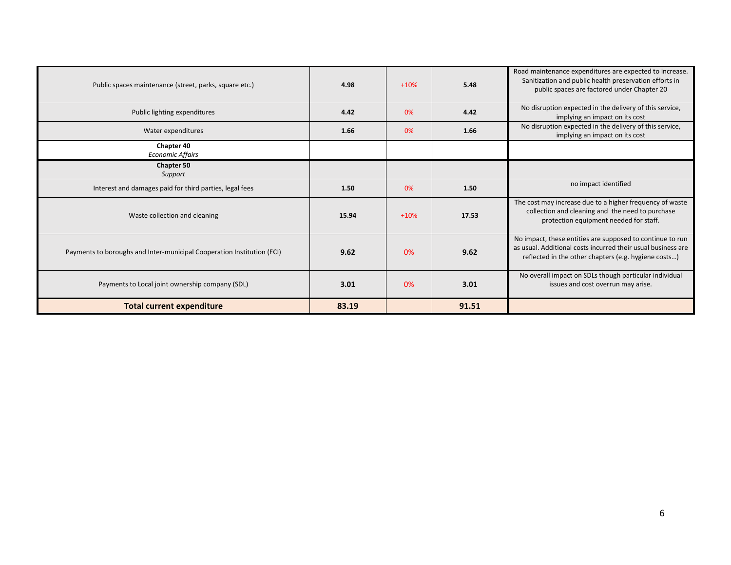| Public spaces maintenance (street, parks, square etc.)                 | 4.98  | $+10%$ | 5.48  | Road maintenance expenditures are expected to increase.<br>Sanitization and public health preservation efforts in<br>public spaces are factored under Chapter 20                  |
|------------------------------------------------------------------------|-------|--------|-------|-----------------------------------------------------------------------------------------------------------------------------------------------------------------------------------|
| Public lighting expenditures                                           | 4.42  | 0%     | 4.42  | No disruption expected in the delivery of this service,<br>implying an impact on its cost                                                                                         |
| Water expenditures                                                     | 1.66  | 0%     | 1.66  | No disruption expected in the delivery of this service,<br>implying an impact on its cost                                                                                         |
| Chapter 40<br><b>Economic Affairs</b>                                  |       |        |       |                                                                                                                                                                                   |
| Chapter 50<br>Support                                                  |       |        |       |                                                                                                                                                                                   |
| Interest and damages paid for third parties, legal fees                | 1.50  | 0%     | 1.50  | no impact identified                                                                                                                                                              |
| Waste collection and cleaning                                          | 15.94 | $+10%$ | 17.53 | The cost may increase due to a higher frequency of waste<br>collection and cleaning and the need to purchase<br>protection equipment needed for staff.                            |
| Payments to boroughs and Inter-municipal Cooperation Institution (ECI) | 9.62  | 0%     | 9.62  | No impact, these entities are supposed to continue to run<br>as usual. Additional costs incurred their usual business are<br>reflected in the other chapters (e.g. hygiene costs) |
| Payments to Local joint ownership company (SDL)                        | 3.01  | 0%     | 3.01  | No overall impact on SDLs though particular individual<br>issues and cost overrun may arise.                                                                                      |
| <b>Total current expenditure</b>                                       | 83.19 |        | 91.51 |                                                                                                                                                                                   |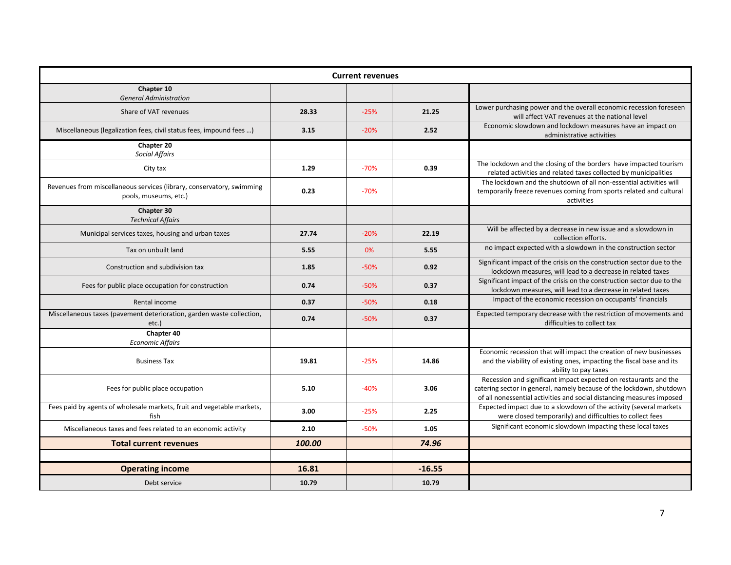| <b>Current revenues</b>                                                                        |        |        |          |                                                                                                                                                                                                                   |  |
|------------------------------------------------------------------------------------------------|--------|--------|----------|-------------------------------------------------------------------------------------------------------------------------------------------------------------------------------------------------------------------|--|
| Chapter 10<br><b>General Administration</b>                                                    |        |        |          |                                                                                                                                                                                                                   |  |
| Share of VAT revenues                                                                          | 28.33  | $-25%$ | 21.25    | Lower purchasing power and the overall economic recession foreseen<br>will affect VAT revenues at the national level                                                                                              |  |
| Miscellaneous (legalization fees, civil status fees, impound fees )                            | 3.15   | $-20%$ | 2.52     | Economic slowdown and lockdown measures have an impact on<br>administrative activities                                                                                                                            |  |
| Chapter 20<br><b>Social Affairs</b>                                                            |        |        |          |                                                                                                                                                                                                                   |  |
| City tax                                                                                       | 1.29   | $-70%$ | 0.39     | The lockdown and the closing of the borders have impacted tourism<br>related activities and related taxes collected by municipalities                                                                             |  |
| Revenues from miscellaneous services (library, conservatory, swimming<br>pools, museums, etc.) | 0.23   | $-70%$ |          | The lockdown and the shutdown of all non-essential activities will<br>temporarily freeze revenues coming from sports related and cultural<br>activities                                                           |  |
| Chapter 30<br><b>Technical Affairs</b>                                                         |        |        |          |                                                                                                                                                                                                                   |  |
| Municipal services taxes, housing and urban taxes                                              | 27.74  | $-20%$ | 22.19    | Will be affected by a decrease in new issue and a slowdown in<br>collection efforts.                                                                                                                              |  |
| Tax on unbuilt land                                                                            | 5.55   | 0%     | 5.55     | no impact expected with a slowdown in the construction sector                                                                                                                                                     |  |
| Construction and subdivision tax                                                               | 1.85   | $-50%$ | 0.92     | Significant impact of the crisis on the construction sector due to the<br>lockdown measures, will lead to a decrease in related taxes                                                                             |  |
| Fees for public place occupation for construction                                              | 0.74   | $-50%$ | 0.37     | Significant impact of the crisis on the construction sector due to the<br>lockdown measures, will lead to a decrease in related taxes                                                                             |  |
| Rental income                                                                                  | 0.37   | $-50%$ | 0.18     | Impact of the economic recession on occupants' financials                                                                                                                                                         |  |
| Miscellaneous taxes (pavement deterioration, garden waste collection,<br>etc.)                 | 0.74   | $-50%$ | 0.37     | Expected temporary decrease with the restriction of movements and<br>difficulties to collect tax                                                                                                                  |  |
| Chapter 40<br><b>Economic Affairs</b>                                                          |        |        |          |                                                                                                                                                                                                                   |  |
| <b>Business Tax</b>                                                                            | 19.81  | $-25%$ | 14.86    | Economic recession that will impact the creation of new businesses<br>and the viability of existing ones, impacting the fiscal base and its<br>ability to pay taxes                                               |  |
| Fees for public place occupation                                                               | 5.10   | $-40%$ | 3.06     | Recession and significant impact expected on restaurants and the<br>catering sector in general, namely because of the lockdown, shutdown<br>of all nonessential activities and social distancing measures imposed |  |
| Fees paid by agents of wholesale markets, fruit and vegetable markets,<br>fish                 | 3.00   | $-25%$ | 2.25     | Expected impact due to a slowdown of the activity (several markets<br>were closed temporarily) and difficulties to collect fees                                                                                   |  |
| Miscellaneous taxes and fees related to an economic activity                                   | 2.10   | $-50%$ | 1.05     | Significant economic slowdown impacting these local taxes                                                                                                                                                         |  |
| <b>Total current revenues</b>                                                                  | 100.00 |        | 74.96    |                                                                                                                                                                                                                   |  |
|                                                                                                |        |        |          |                                                                                                                                                                                                                   |  |
| <b>Operating income</b>                                                                        | 16.81  |        | $-16.55$ |                                                                                                                                                                                                                   |  |
| Debt service                                                                                   | 10.79  |        | 10.79    |                                                                                                                                                                                                                   |  |